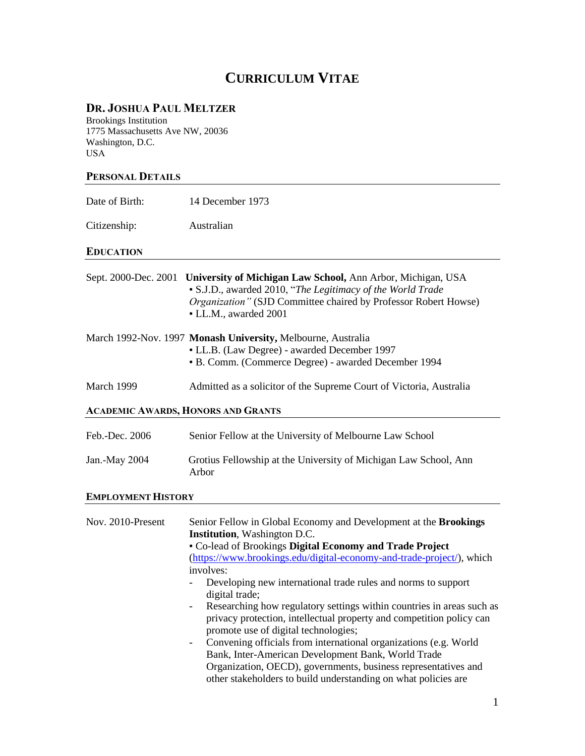# **CURRICULUM VITAE**

### **DR. JOSHUA PAUL MELTZER**

Brookings Institution 1775 Massachusetts Ave NW, 20036 Washington, D.C. USA

#### **PERSONAL DETAILS**

| Date of Birth:                            | 14 December 1973                                                                                                                                                                                                                                                                                                                                                                                                                                                                                                                       |
|-------------------------------------------|----------------------------------------------------------------------------------------------------------------------------------------------------------------------------------------------------------------------------------------------------------------------------------------------------------------------------------------------------------------------------------------------------------------------------------------------------------------------------------------------------------------------------------------|
| Citizenship:                              | Australian                                                                                                                                                                                                                                                                                                                                                                                                                                                                                                                             |
| <b>EDUCATION</b>                          |                                                                                                                                                                                                                                                                                                                                                                                                                                                                                                                                        |
| Sept. 2000-Dec. 2001                      | University of Michigan Law School, Ann Arbor, Michigan, USA<br>• S.J.D., awarded 2010, "The Legitimacy of the World Trade<br>Organization" (SJD Committee chaired by Professor Robert Howse)<br>• LL.M., awarded 2001                                                                                                                                                                                                                                                                                                                  |
|                                           | March 1992-Nov. 1997 Monash University, Melbourne, Australia<br>• LL.B. (Law Degree) - awarded December 1997<br>• B. Comm. (Commerce Degree) - awarded December 1994                                                                                                                                                                                                                                                                                                                                                                   |
| March 1999                                | Admitted as a solicitor of the Supreme Court of Victoria, Australia                                                                                                                                                                                                                                                                                                                                                                                                                                                                    |
| <b>ACADEMIC AWARDS, HONORS AND GRANTS</b> |                                                                                                                                                                                                                                                                                                                                                                                                                                                                                                                                        |
| Feb.-Dec. 2006                            | Senior Fellow at the University of Melbourne Law School                                                                                                                                                                                                                                                                                                                                                                                                                                                                                |
| Jan.-May 2004                             | Grotius Fellowship at the University of Michigan Law School, Ann<br>Arbor                                                                                                                                                                                                                                                                                                                                                                                                                                                              |
| <b>EMPLOYMENT HISTORY</b>                 |                                                                                                                                                                                                                                                                                                                                                                                                                                                                                                                                        |
| Nov. 2010-Present                         | Senior Fellow in Global Economy and Development at the Brookings<br><b>Institution</b> , Washington D.C.<br>• Co-lead of Brookings Digital Economy and Trade Project<br>(https://www.brookings.edu/digital-economy-and-trade-project/), which<br>involves:<br>Developing new international trade rules and norms to support<br>digital trade;<br>Researching how regulatory settings within countries in areas such as<br>privacy protection, intellectual property and competition policy can<br>promote use of digital technologies; |

- Convening officials from international organizations (e.g. World Bank, Inter-American Development Bank, World Trade Organization, OECD), governments, business representatives and other stakeholders to build understanding on what policies are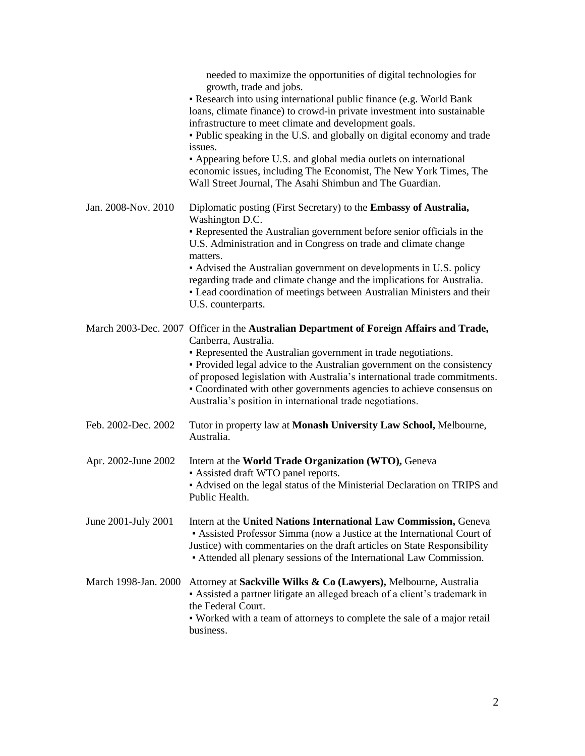|                      | needed to maximize the opportunities of digital technologies for<br>growth, trade and jobs.<br>- Research into using international public finance (e.g. World Bank<br>loans, climate finance) to crowd-in private investment into sustainable<br>infrastructure to meet climate and development goals.<br>• Public speaking in the U.S. and globally on digital economy and trade                                                                                               |
|----------------------|---------------------------------------------------------------------------------------------------------------------------------------------------------------------------------------------------------------------------------------------------------------------------------------------------------------------------------------------------------------------------------------------------------------------------------------------------------------------------------|
|                      | issues.<br>• Appearing before U.S. and global media outlets on international<br>economic issues, including The Economist, The New York Times, The<br>Wall Street Journal, The Asahi Shimbun and The Guardian.                                                                                                                                                                                                                                                                   |
| Jan. 2008-Nov. 2010  | Diplomatic posting (First Secretary) to the Embassy of Australia,<br>Washington D.C.<br>• Represented the Australian government before senior officials in the<br>U.S. Administration and in Congress on trade and climate change                                                                                                                                                                                                                                               |
|                      | matters.<br>• Advised the Australian government on developments in U.S. policy<br>regarding trade and climate change and the implications for Australia.<br>• Lead coordination of meetings between Australian Ministers and their<br>U.S. counterparts.                                                                                                                                                                                                                        |
|                      | March 2003-Dec. 2007 Officer in the Australian Department of Foreign Affairs and Trade,<br>Canberra, Australia.<br>• Represented the Australian government in trade negotiations.<br>• Provided legal advice to the Australian government on the consistency<br>of proposed legislation with Australia's international trade commitments.<br>• Coordinated with other governments agencies to achieve consensus on<br>Australia's position in international trade negotiations. |
| Feb. 2002-Dec. 2002  | Tutor in property law at Monash University Law School, Melbourne,<br>Australia.                                                                                                                                                                                                                                                                                                                                                                                                 |
| Apr. 2002-June 2002  | Intern at the World Trade Organization (WTO), Geneva<br>- Assisted draft WTO panel reports.<br>- Advised on the legal status of the Ministerial Declaration on TRIPS and<br>Public Health.                                                                                                                                                                                                                                                                                      |
| June 2001-July 2001  | Intern at the United Nations International Law Commission, Geneva<br>• Assisted Professor Simma (now a Justice at the International Court of<br>Justice) with commentaries on the draft articles on State Responsibility<br>• Attended all plenary sessions of the International Law Commission.                                                                                                                                                                                |
| March 1998-Jan. 2000 | Attorney at Sackville Wilks & Co (Lawyers), Melbourne, Australia<br>- Assisted a partner litigate an alleged breach of a client's trademark in<br>the Federal Court.<br>• Worked with a team of attorneys to complete the sale of a major retail<br>business.                                                                                                                                                                                                                   |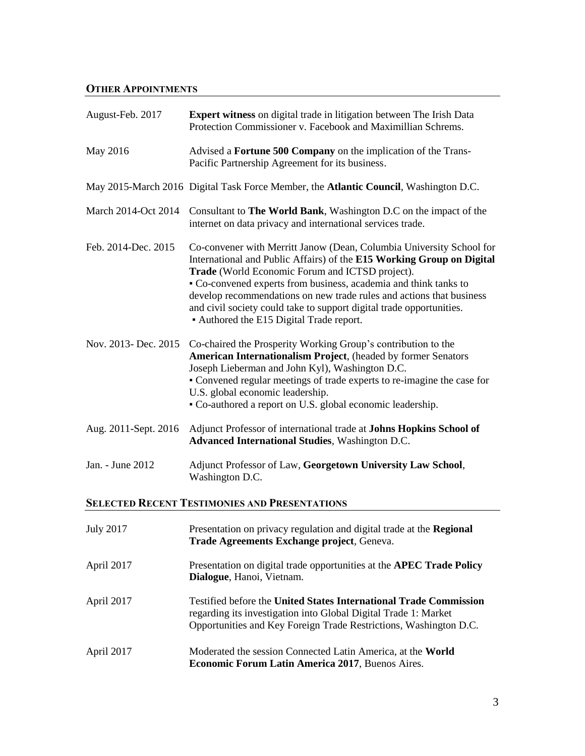## **OTHER APPOINTMENTS**

| August-Feb. 2017                                     | <b>Expert witness</b> on digital trade in litigation between The Irish Data<br>Protection Commissioner v. Facebook and Maximillian Schrems.                                                                                                                                                                                                                                                                                                                      |  |  |
|------------------------------------------------------|------------------------------------------------------------------------------------------------------------------------------------------------------------------------------------------------------------------------------------------------------------------------------------------------------------------------------------------------------------------------------------------------------------------------------------------------------------------|--|--|
| May 2016                                             | Advised a Fortune 500 Company on the implication of the Trans-<br>Pacific Partnership Agreement for its business.                                                                                                                                                                                                                                                                                                                                                |  |  |
|                                                      | May 2015-March 2016 Digital Task Force Member, the Atlantic Council, Washington D.C.                                                                                                                                                                                                                                                                                                                                                                             |  |  |
| March 2014-Oct 2014                                  | Consultant to The World Bank, Washington D.C on the impact of the<br>internet on data privacy and international services trade.                                                                                                                                                                                                                                                                                                                                  |  |  |
| Feb. 2014-Dec. 2015                                  | Co-convener with Merritt Janow (Dean, Columbia University School for<br>International and Public Affairs) of the E15 Working Group on Digital<br>Trade (World Economic Forum and ICTSD project).<br>• Co-convened experts from business, academia and think tanks to<br>develop recommendations on new trade rules and actions that business<br>and civil society could take to support digital trade opportunities.<br>• Authored the E15 Digital Trade report. |  |  |
| Nov. 2013- Dec. 2015                                 | Co-chaired the Prosperity Working Group's contribution to the<br>American Internationalism Project, (headed by former Senators<br>Joseph Lieberman and John Kyl), Washington D.C.<br>• Convened regular meetings of trade experts to re-imagine the case for<br>U.S. global economic leadership.<br>• Co-authored a report on U.S. global economic leadership.                                                                                                   |  |  |
| Aug. 2011-Sept. 2016                                 | Adjunct Professor of international trade at Johns Hopkins School of<br><b>Advanced International Studies, Washington D.C.</b>                                                                                                                                                                                                                                                                                                                                    |  |  |
| Jan. - June 2012                                     | Adjunct Professor of Law, Georgetown University Law School,<br>Washington D.C.                                                                                                                                                                                                                                                                                                                                                                                   |  |  |
| <b>SELECTED RECENT TESTIMONIES AND PRESENTATIONS</b> |                                                                                                                                                                                                                                                                                                                                                                                                                                                                  |  |  |
| <b>July 2017</b>                                     | Presentation on privacy regulation and digital trade at the Regional<br>Trade Agreements Exchange project, Geneva.                                                                                                                                                                                                                                                                                                                                               |  |  |
| April 2017                                           | Presentation on digital trade opportunities at the APEC Trade Policy<br>Dialogue, Hanoi, Vietnam.                                                                                                                                                                                                                                                                                                                                                                |  |  |
| April 2017                                           | <b>Testified before the United States International Trade Commission</b><br>regarding its investigation into Global Digital Trade 1: Market<br>Opportunities and Key Foreign Trade Restrictions, Washington D.C.                                                                                                                                                                                                                                                 |  |  |
| April 2017                                           | Moderated the session Connected Latin America, at the World                                                                                                                                                                                                                                                                                                                                                                                                      |  |  |

**Economic Forum Latin America 2017**, Buenos Aires.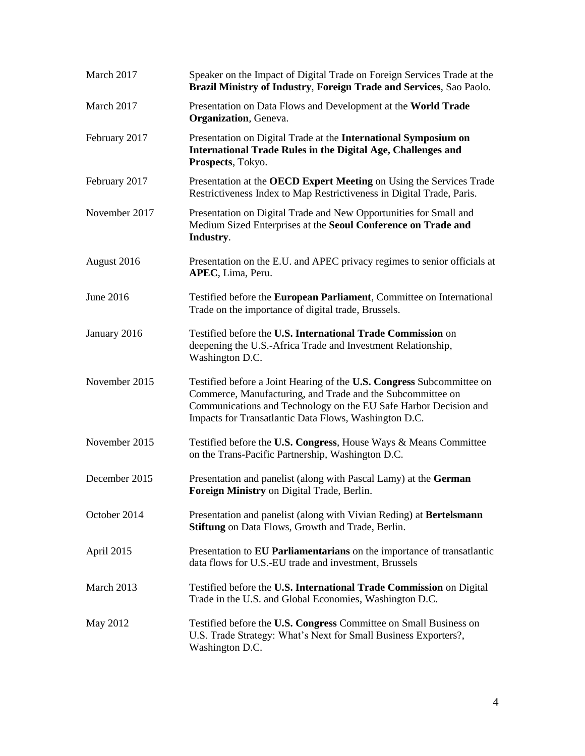| March 2017    | Speaker on the Impact of Digital Trade on Foreign Services Trade at the<br>Brazil Ministry of Industry, Foreign Trade and Services, Sao Paolo.                                                                                                                   |
|---------------|------------------------------------------------------------------------------------------------------------------------------------------------------------------------------------------------------------------------------------------------------------------|
| March 2017    | Presentation on Data Flows and Development at the World Trade<br><b>Organization</b> , Geneva.                                                                                                                                                                   |
| February 2017 | Presentation on Digital Trade at the International Symposium on<br>International Trade Rules in the Digital Age, Challenges and<br>Prospects, Tokyo.                                                                                                             |
| February 2017 | Presentation at the OECD Expert Meeting on Using the Services Trade<br>Restrictiveness Index to Map Restrictiveness in Digital Trade, Paris.                                                                                                                     |
| November 2017 | Presentation on Digital Trade and New Opportunities for Small and<br>Medium Sized Enterprises at the Seoul Conference on Trade and<br>Industry.                                                                                                                  |
| August 2016   | Presentation on the E.U. and APEC privacy regimes to senior officials at<br>APEC, Lima, Peru.                                                                                                                                                                    |
| June 2016     | Testified before the European Parliament, Committee on International<br>Trade on the importance of digital trade, Brussels.                                                                                                                                      |
| January 2016  | Testified before the U.S. International Trade Commission on<br>deepening the U.S.-Africa Trade and Investment Relationship,<br>Washington D.C.                                                                                                                   |
| November 2015 | Testified before a Joint Hearing of the U.S. Congress Subcommittee on<br>Commerce, Manufacturing, and Trade and the Subcommittee on<br>Communications and Technology on the EU Safe Harbor Decision and<br>Impacts for Transatlantic Data Flows, Washington D.C. |
| November 2015 | Testified before the U.S. Congress, House Ways & Means Committee<br>on the Trans-Pacific Partnership, Washington D.C.                                                                                                                                            |
| December 2015 | Presentation and panelist (along with Pascal Lamy) at the German<br>Foreign Ministry on Digital Trade, Berlin.                                                                                                                                                   |
| October 2014  | Presentation and panelist (along with Vivian Reding) at Bertelsmann<br><b>Stiftung</b> on Data Flows, Growth and Trade, Berlin.                                                                                                                                  |
| April 2015    | Presentation to EU Parliamentarians on the importance of transatlantic<br>data flows for U.S.-EU trade and investment, Brussels                                                                                                                                  |
| March 2013    | Testified before the U.S. International Trade Commission on Digital<br>Trade in the U.S. and Global Economies, Washington D.C.                                                                                                                                   |
| May 2012      | Testified before the U.S. Congress Committee on Small Business on<br>U.S. Trade Strategy: What's Next for Small Business Exporters?,<br>Washington D.C.                                                                                                          |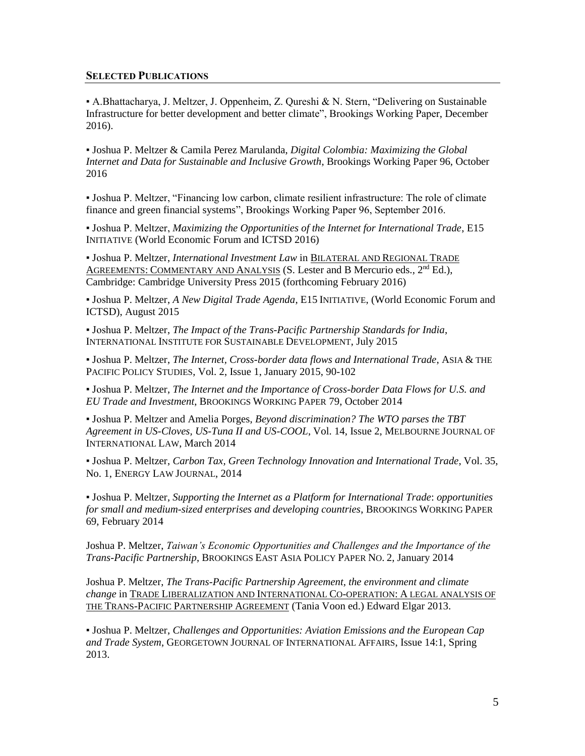#### **SELECTED PUBLICATIONS**

▪ A.Bhattacharya, J. Meltzer, J. Oppenheim, Z. Qureshi & N. Stern, "Delivering on Sustainable Infrastructure for better development and better climate", Brookings Working Paper, December 2016).

▪ Joshua P. Meltzer & Camila Perez Marulanda, *Digital Colombia: Maximizing the Global Internet and Data for Sustainable and Inclusive Growth*, Brookings Working Paper 96, October 2016

▪ Joshua P. Meltzer, "Financing low carbon, climate resilient infrastructure: The role of climate finance and green financial systems", Brookings Working Paper 96, September 2016.

▪ Joshua P. Meltzer, *Maximizing the Opportunities of the Internet for International Trade*, E15 INITIATIVE (World Economic Forum and ICTSD 2016)

▪ Joshua P. Meltzer, *International Investment Law* in BILATERAL AND REGIONAL TRADE AGREEMENTS: COMMENTARY AND ANALYSIS (S. Lester and B Mercurio eds.,  $2<sup>nd</sup> Ed$ .), Cambridge: Cambridge University Press 2015 (forthcoming February 2016)

▪ Joshua P. Meltzer, *A New Digital Trade Agenda*, E15 INITIATIVE, (World Economic Forum and ICTSD), August 2015

▪ Joshua P. Meltzer, *The Impact of the Trans-Pacific Partnership Standards for India*, INTERNATIONAL INSTITUTE FOR SUSTAINABLE DEVELOPMENT, July 2015

▪ Joshua P. Meltzer, *The Internet, Cross-border data flows and International Trade*, ASIA & THE PACIFIC POLICY STUDIES, Vol. 2, Issue 1, January 2015, 90-102

▪ Joshua P. Meltzer, *The Internet and the Importance of Cross-border Data Flows for U.S. and EU Trade and Investment*, BROOKINGS WORKING PAPER 79, October 2014

▪ Joshua P. Meltzer and Amelia Porges, *Beyond discrimination? The WTO parses the TBT Agreement in US-Cloves, US-Tuna II and US-COOL*, Vol. 14, Issue 2, MELBOURNE JOURNAL OF INTERNATIONAL LAW, March 2014

▪ Joshua P. Meltzer, *Carbon Tax, Green Technology Innovation and International Trade*, Vol. 35, No. 1, ENERGY LAW JOURNAL, 2014

▪ Joshua P. Meltzer, *Supporting the Internet as a Platform for International Trade*: *opportunities for small and medium-sized enterprises and developing countries*, BROOKINGS WORKING PAPER 69, February 2014

Joshua P. Meltzer, *Taiwan's Economic Opportunities and Challenges and the Importance of the Trans-Pacific Partnership*, BROOKINGS EAST ASIA POLICY PAPER NO. 2, January 2014

Joshua P. Meltzer, *The Trans-Pacific Partnership Agreement, the environment and climate change* in TRADE LIBERALIZATION AND INTERNATIONAL CO-OPERATION: A LEGAL ANALYSIS OF THE TRANS-PACIFIC PARTNERSHIP AGREEMENT (Tania Voon ed.) Edward Elgar 2013.

▪ Joshua P. Meltzer, *Challenges and Opportunities: Aviation Emissions and the European Cap and Trade System*, GEORGETOWN JOURNAL OF INTERNATIONAL AFFAIRS, Issue 14:1, Spring 2013.